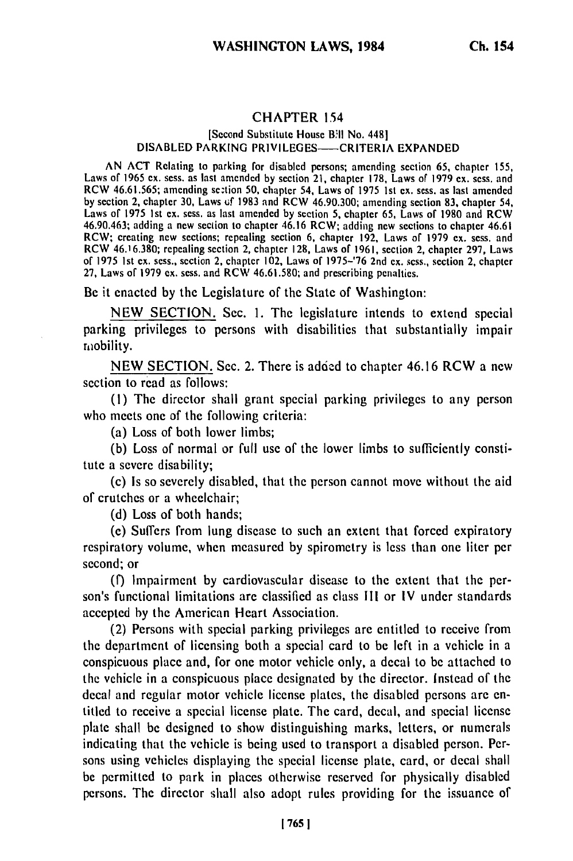## CHAPTER 154

## [Second Substitute House Bill No. 448] DISABLED PARKING PRIVILEGES-CRITERIA EXPANDED

AN ACT Relating to parking for disabled persons; amending section **65,** chapter **155,** Laws of 1965 **ex.** sess. as last amended by section 21, chapter **178,** Laws of 1979 ex. sess. and Laws of 1905 ex. sess. as jast amended by section 21, chapter 176, Laws of 1979 ex. sess. and<br>DCW 46.61.565; amending sextion 50, obenter 54. Laws of 1975 1st ex. sess. as last amended **by** section 2, chapter **30,** Laws **tuf 1983** and RCW 46.90.300; amending section **83,** chapter 54, Laws of 1975 Ist ex. sess. as last amended by section **5,** chapter **65,** Laws of 1980 and RCW  $46.90.463$ ; adding a new section to chapter 46.16 RCW; adding new sections to chapter 46.61 RCW; creating new sections; repealing section **6,** chapter 192, Laws of 1979 ex. sess. and RCW 46.16.380; repealing section 2, chapter **128,** Laws of **1961,** section 2, chapter 297, Laws of 1975 Ist **ex.** sess., section 2, chapter 102, Laws of 1975-'76 2nd ex. sess., section 2, chapter **27,** Laws of 1979 **ex.** sess. and RCW 46.61.580; and prescribing penalties.

Be it enacted **by** the Legislature of the State of Washington:

NEW SECTION. Sec. 1. The legislature intends to extend special parking privileges to persons with disabilities that substantially impair mobility.

NEW SECTION. Sec. 2. There is added to chapter 46.16 RCW a new section to read as follows:

(I) The director shall grant special parking privileges to any person who meets one of the following criteria:

(a) Loss of both lower limbs;

**(b)** Loss of normal or full use of the lower limbs to sufficiently constitute a severe disability;

(c) Is so severely disabled, that the person cannot move without the aid of crutches or a wheelchair;

(d) Loss of both hands;

**(c)** Suffers from lung disease to such an extent that forced expiratory respiratory volume, when measured by spirometry is less than one liter per second; or

(f) Impairment by cardiovascular disease to the extent that the person's functional limitations are classified as class **Ill** or IV under standards accepted by the American Heart Association.

(2) Persons with special parking privileges are entitled to receive from the department of licensing both a special card to be left in a vehicle in a conspicuous place and, for one motor vehicle only, a decal to be attached to the vehicle in a conspicuous place designated **by** the director. Instead of the decal and regular motor vehicle license plates, the disabled persons are entitled to receive a special license plate. The card, decal, and special license plate shall be designed to show distinguishing marks, letters, or numerals indicating that the vehicle is being used to transport a disabled person. Persons using vehicles displaying the special license plate, card, or decal shall be permitted to park in places otherwise reserved for physically disabled persons. The director shall also adopt rules providing for the issuance of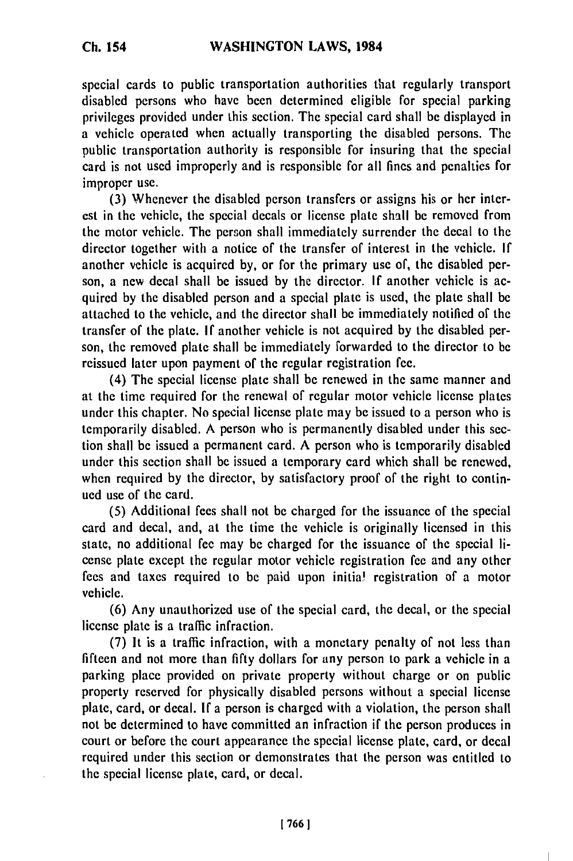special cards to public transportation authorities that regularly transport disabled persons who have been determined eligible for special parking privileges provided under this section. The special card shall be displayed in a vehicle operated when actually transporting the disabled persons. The public transportation authority is responsible for insuring that the special card is not used improperly and is responsible for all fines and penalties for improper use.

(3) Whenever the disabled person transfers or assigns his or her interest in the vehicle, the special decals or license plate shall be removed from the motor vehicle. The person shall immediately surrender the decal to the director together with a notice of the transfer of interest in the vehicle. If another vehicle is acquired by, or for the primary use of, the disabled person, a new decal shall be issued by the director. If another vehicle is acquired by the disabled person and a special plate is used, the plate shall be attached to the vehicle, and the director shall be immediately notified of the transfer of the plate. **If** another vehicle is not acquired by the disabled person, the removed plate shall be immediately forwarded to the director to be reissued later upon payment of the regular registration fee.

(4) The special license plate shall be renewed in the same manner and at the time required for the renewal of regular motor vehicle license plates under this chapter. No special license plate may be issued to a person who is temporarily disabled. A person who is permanently disabled under this section shall be issued a permanent card. A person who is temporarily disabled under this section shall be issued a temporary card which shall be renewed, when required by the director, by satisfactory proof of the right to continued use of the card.

(5) Additional fees shall not be charged for the issuance of the special card and decal, and, at the time the vehicle is originally licensed in this state, no additional fee may be charged for the issuance of the special license plate except the regular motor vehicle registration fee and any other fees and taxes required to be paid upon initial registration of a motor vehicle.

(6) Any unauthorized use of the special card, the decal, or the special license plate is a traffic infraction.

(7) It is a traffic infraction, with a monetary penalty of not less than fifteen and not more than fifty dollars for any person to park a vehicle in a parking place provided on private property without charge or on public property reserved for physically disabled persons without a special license plate, card, or decal. If a person is charged with a violation, the person shall not be determined to have committed an infraction if the person produces in court or before the court appearance the special license plate, card, or decal required under this section or demonstrates that the person was entitled to the special license plate, card, or decal.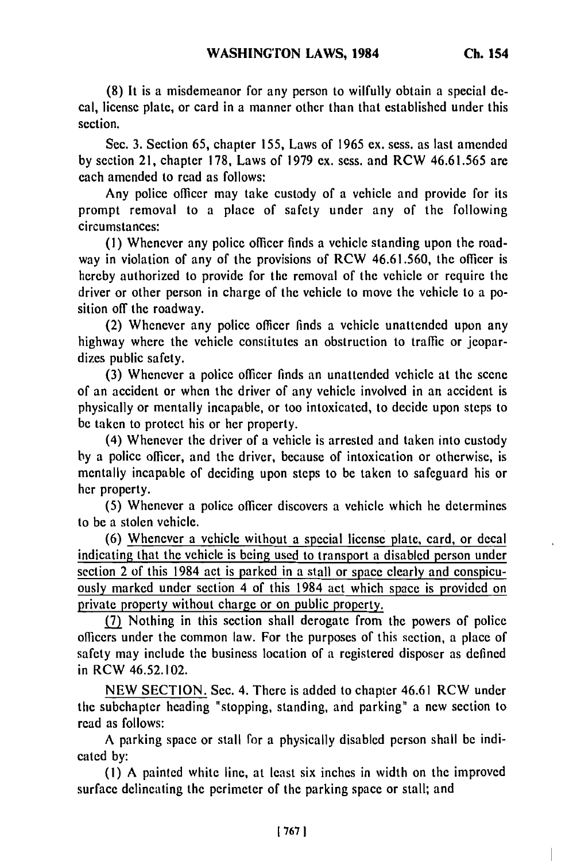**(8) It** is a misdemeanor for any person to wilfully obtain a special decal, license plate, or card in a manner other than that established under this section.

Sec. 3. Section 65, chapter 155, Laws of 1965 ex. sess. as last amended by section 21, chapter 178, Laws of 1979 ex. sess. and RCW 46.61.565 are each amended to read as follows:

Any police officer may take custody of a vehicle and provide for its prompt removal to a place of safety under any of the following circumstances:

(I) Whenever any police officer finds a vehicle standing upon the roadway in violation of any of the provisions of RCW 46.61.560, the officer is hereby authorized to provide for the removal of the vehicle or require the driver or other person in charge of the vehicle to move the vehicle to a position off the roadway.

(2) Whenever any police officer finds a vehicle unattended upon any highway where the vehicle constitutes an obstruction to traffic or jeopardizes public safety.

(3) Whenever a police officer finds an unattended vehicle at the scene of an accident or when the driver of any vehicle involved in an accident is physically or mentally incapable, or too intoxicated, to decide upon steps to be taken to protect his or her property.

(4) Whenever the driver of a vehicle is arrested and taken into custody by a police officer, and the driver, because of intoxication or otherwise, is mentally incapable of deciding upon steps to be taken to safeguard his or her property.

(5) Whenever a police officer discovers a vehicle which he determines to be a stolen vehicle.

(6) Whenever a vehicle without a special license plate, card, or decal indicating that the vehicle is being used to transport a disabled person under section 2 of this 1984 act is parked in a stall or space clearly and conspicuously marked under section 4 of this 1984 act which space is provided on private property without charge or on public property.

**(7)** Nothing in this section shall derogate from the powers of police officers under the common law. For the purposes of this section, a place of safety may include the business location of a registered disposer as defined in RCW 46.52.102.

NEW SECTION. Sec. 4. There is added to chapter 46.61 RCW under the subchapter heading "stopping, standing, and parking" a new section to read as follows:

A parking space or stall for a physically disabled person shall be indicated by:

(I) A painted white line, at least six inches in width on the improved surface delineating the perimeter of the parking space or stall; and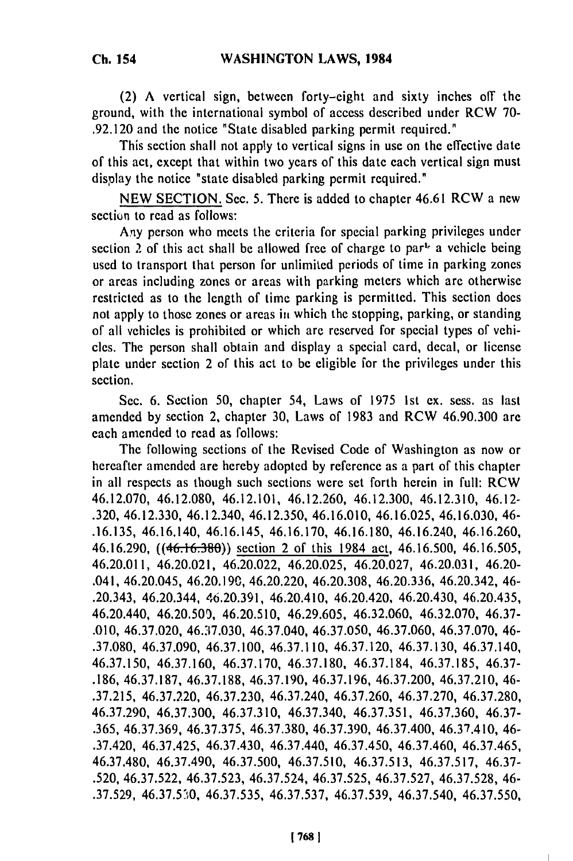(2) A vertical sign, between forty-eight and sixty inches off the ground, with the international symbol of access described under RCW 70- .92.120 and the notice "State disabled parking permit required."

This section shall not apply to vertical signs in use on the effective date of this act, except that within two years of this date each vertical sign must display the notice "state disabled parking permit required."

NEW SECTION. Sec. 5. There is added to chapter 46.61 RCW a new section to read as follows:

Any person who meets the criteria for special parking privileges under section 2 of this act shall be allowed free of charge to par<sup> $1$ </sup> a vehicle being used to transport that person for unlimited periods of time in parking zones or areas including zones or areas with parking meters which are otherwise restricted as to the length of time parking is permitted. This section does not apply to those zones or areas in which the stopping, parking, or standing of all vehicles is prohibited or which are reserved for special types of vehicles. The person shall obtain and display a special card, decal, or license plate under section 2 of this act to be eligible for the privileges under this section.

Sec. **6,** Section 50, chapter 54, Laws of 1975 1st ex. sess. as last amended by section 2, chapter 30, Laws of 1983 and RCW 46.90.300 are each amended to read as follows:

The following sections of the Revised Code of Washington as now or hereafter amended are hereby adopted by reference as a part of this chapter in all respects as though such sections were set forth herein in full: RCW 46.12.070, 46.12.080, 46.12.101, 46.12.260, 46.12.300, 46.12.310, 46.12- .320, 46.12.330, 46.12.340, 46.12.350, 46.16.010, 46.16.025, 46.16.030, 46- .16.135, 46.16.140, 46.16.145, 46.16.170, 46.16.180, 46.16.240, 46.16.260, 46.16.290, ((46.16.380)) section 2 of this 1984 act, 46.16.500, 46.16.505, 46.20.011, 46.20.021, 46.20.022, 46.20.025, 46.20.027, 46.20.031, 46.20- .041, 46.20.045, 46.20.190, 46.20.220, 46.20.308, 46.20.336, 46.20.342, 46- .20.343, 46.20.344, 46.20.391, 46.20.410, 46.20.420, 46.20.430, 46.20.435, 46.20.440, 46.20.509, 46.20.510, 46.29.605, 46.32.060, 46.32.070, 46.37- .010, 46.37.020, 46.37.030, 46.37.040, 46.37.050, 46.37.060, 46.37.070, 46- .37.080, 46.37.090, 46.37.100, 46.37.110, 46.37.120, 46.37.130, 46.37.140, 46.37.150, 46.37.160, 46.37.170, 46.37.180, 46.37.184, 46.37.185, 46.37- .186, 46.37.187, 46.37.188, 46.37.190, 46.37.196, 46.37.200, 46.37.210, 46- .37.215, 46.37.220, 46.37.230, 46.37.240, 46.37.260, 46.37.270, 46.37.280, 46.37.290, 46.37.300, 46.37.310, 46.37.340, 46.37.351, 46.37.360, 46.37- .365, 46.37.369, 46.37.375, 46.37.380, 46.37.390, 46.37.400, 46.37.410, 46- .37.420, 46.37.425, 46.37.430, 46.37.440, 46.37.450, 46.37.460, 46.37.465, 46.37.480, 46.37.490, 46.37.500, 46.37.510, 46.37.513, 46.37.517, 46.37- .520, 46.37.522, 46.37.523, 46.37.524, 46.37.525, 46.37.527, 46.37.528, 46- .37.529, 46.37.530, 46.37.535, 46.37.537, 46.37.539, 46.37.540, 46.37.550,